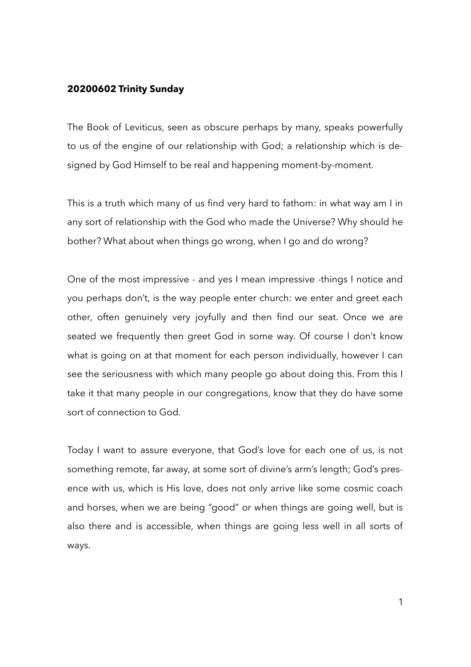## **20200602 Trinity Sunday**

The Book of Leviticus, seen as obscure perhaps by many, speaks powerfully to us of the engine of our relationship with God; a relationship which is designed by God Himself to be real and happening moment-by-moment.

This is a truth which many of us find very hard to fathom: in what way am I in any sort of relationship with the God who made the Universe? Why should he bother? What about when things go wrong, when I go and do wrong?

One of the most impressive - and yes I mean impressive -things I notice and you perhaps don't, is the way people enter church: we enter and greet each other, often genuinely very joyfully and then find our seat. Once we are seated we frequently then greet God in some way. Of course I don't know what is going on at that moment for each person individually, however I can see the seriousness with which many people go about doing this. From this I take it that many people in our congregations, know that they do have some sort of connection to God.

Today I want to assure everyone, that God's love for each one of us, is not something remote, far away, at some sort of divine's arm's length; God's presence with us, which is His love, does not only arrive like some cosmic coach and horses, when we are being "good" or when things are going well, but is also there and is accessible, when things are going less well in all sorts of ways.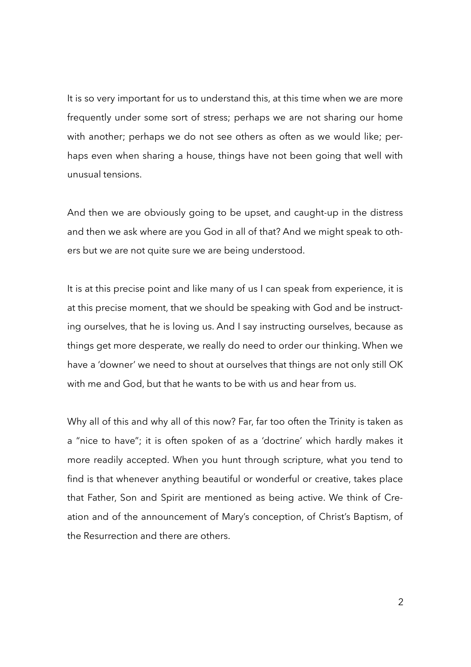It is so very important for us to understand this, at this time when we are more frequently under some sort of stress; perhaps we are not sharing our home with another; perhaps we do not see others as often as we would like; perhaps even when sharing a house, things have not been going that well with unusual tensions.

And then we are obviously going to be upset, and caught-up in the distress and then we ask where are you God in all of that? And we might speak to others but we are not quite sure we are being understood.

It is at this precise point and like many of us I can speak from experience, it is at this precise moment, that we should be speaking with God and be instructing ourselves, that he is loving us. And I say instructing ourselves, because as things get more desperate, we really do need to order our thinking. When we have a 'downer' we need to shout at ourselves that things are not only still OK with me and God, but that he wants to be with us and hear from us.

Why all of this and why all of this now? Far, far too often the Trinity is taken as a "nice to have"; it is often spoken of as a 'doctrine' which hardly makes it more readily accepted. When you hunt through scripture, what you tend to find is that whenever anything beautiful or wonderful or creative, takes place that Father, Son and Spirit are mentioned as being active. We think of Creation and of the announcement of Mary's conception, of Christ's Baptism, of the Resurrection and there are others.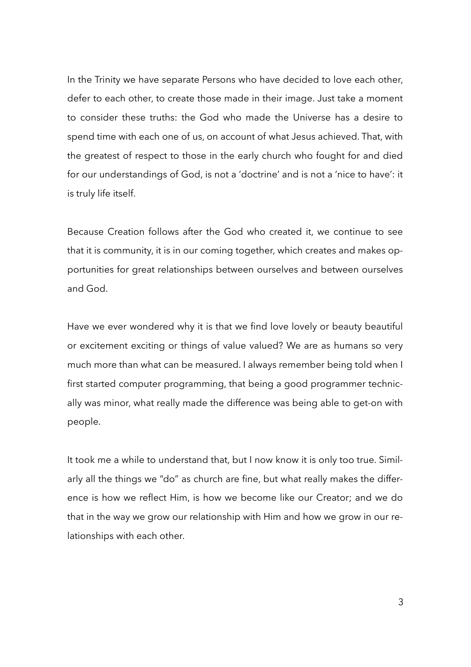In the Trinity we have separate Persons who have decided to love each other, defer to each other, to create those made in their image. Just take a moment to consider these truths: the God who made the Universe has a desire to spend time with each one of us, on account of what Jesus achieved. That, with the greatest of respect to those in the early church who fought for and died for our understandings of God, is not a 'doctrine' and is not a 'nice to have': it is truly life itself.

Because Creation follows after the God who created it, we continue to see that it is community, it is in our coming together, which creates and makes opportunities for great relationships between ourselves and between ourselves and God.

Have we ever wondered why it is that we find love lovely or beauty beautiful or excitement exciting or things of value valued? We are as humans so very much more than what can be measured. I always remember being told when I first started computer programming, that being a good programmer technically was minor, what really made the difference was being able to get-on with people.

It took me a while to understand that, but I now know it is only too true. Similarly all the things we "do" as church are fine, but what really makes the difference is how we reflect Him, is how we become like our Creator; and we do that in the way we grow our relationship with Him and how we grow in our relationships with each other.